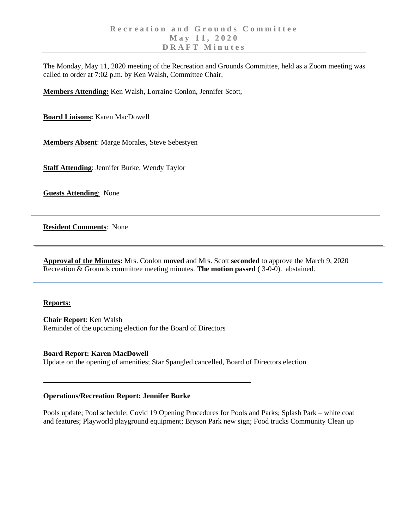The Monday, May 11, 2020 meeting of the Recreation and Grounds Committee, held as a Zoom meeting was called to order at 7:02 p.m. by Ken Walsh, Committee Chair.

**Members Attending:** Ken Walsh, Lorraine Conlon, Jennifer Scott,

**Board Liaisons:** Karen MacDowell

**Members Absent**: Marge Morales, Steve Sebestyen

**Staff Attending**: Jennifer Burke, Wendy Taylor

**Guests Attending**: None

**Resident Comments**: None

**Approval of the Minutes:** Mrs. Conlon **moved** and Mrs. Scott **seconded** to approve the March 9, 2020 Recreation & Grounds committee meeting minutes. **The motion passed** ( 3-0-0). abstained.

#### **Reports:**

**Chair Report**: Ken Walsh Reminder of the upcoming election for the Board of Directors

### **Board Report: Karen MacDowell**

Update on the opening of amenities; Star Spangled cancelled, Board of Directors election

#### **Operations/Recreation Report: Jennifer Burke**

Pools update; Pool schedule; Covid 19 Opening Procedures for Pools and Parks; Splash Park – white coat and features; Playworld playground equipment; Bryson Park new sign; Food trucks Community Clean up